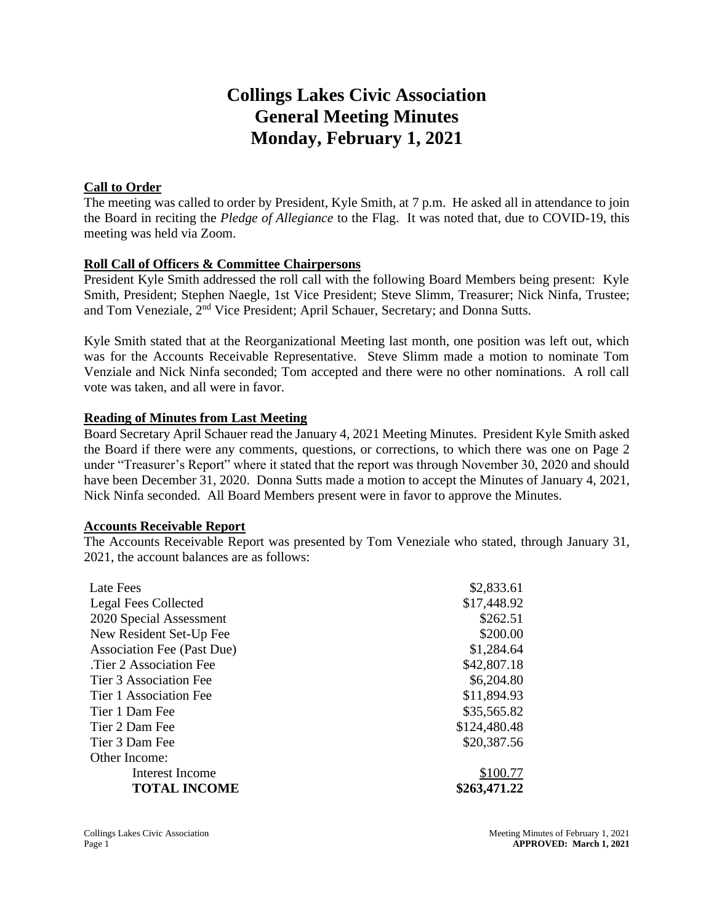# **Collings Lakes Civic Association General Meeting Minutes Monday, February 1, 2021**

## **Call to Order**

The meeting was called to order by President, Kyle Smith, at 7 p.m. He asked all in attendance to join the Board in reciting the *Pledge of Allegiance* to the Flag. It was noted that, due to COVID-19, this meeting was held via Zoom.

## **Roll Call of Officers & Committee Chairpersons**

President Kyle Smith addressed the roll call with the following Board Members being present: Kyle Smith, President; Stephen Naegle, 1st Vice President; Steve Slimm, Treasurer; Nick Ninfa, Trustee; and Tom Veneziale, 2nd Vice President; April Schauer, Secretary; and Donna Sutts.

Kyle Smith stated that at the Reorganizational Meeting last month, one position was left out, which was for the Accounts Receivable Representative. Steve Slimm made a motion to nominate Tom Venziale and Nick Ninfa seconded; Tom accepted and there were no other nominations. A roll call vote was taken, and all were in favor.

## **Reading of Minutes from Last Meeting**

Board Secretary April Schauer read the January 4, 2021 Meeting Minutes. President Kyle Smith asked the Board if there were any comments, questions, or corrections, to which there was one on Page 2 under "Treasurer's Report" where it stated that the report was through November 30, 2020 and should have been December 31, 2020. Donna Sutts made a motion to accept the Minutes of January 4, 2021, Nick Ninfa seconded. All Board Members present were in favor to approve the Minutes.

## **Accounts Receivable Report**

The Accounts Receivable Report was presented by Tom Veneziale who stated, through January 31, 2021, the account balances are as follows:

| <b>TOTAL INCOME</b>               | \$263,471.22 |
|-----------------------------------|--------------|
| <b>Interest Income</b>            | \$100.77     |
| Other Income:                     |              |
| Tier 3 Dam Fee                    | \$20,387.56  |
| Tier 2 Dam Fee                    | \$124,480.48 |
| Tier 1 Dam Fee                    | \$35,565.82  |
| Tier 1 Association Fee            | \$11,894.93  |
| Tier 3 Association Fee            | \$6,204.80   |
| Tier 2 Association Fee.           | \$42,807.18  |
| <b>Association Fee (Past Due)</b> | \$1,284.64   |
| New Resident Set-Up Fee           | \$200.00     |
| 2020 Special Assessment           | \$262.51     |
| <b>Legal Fees Collected</b>       | \$17,448.92  |
| Late Fees                         | \$2,833.61   |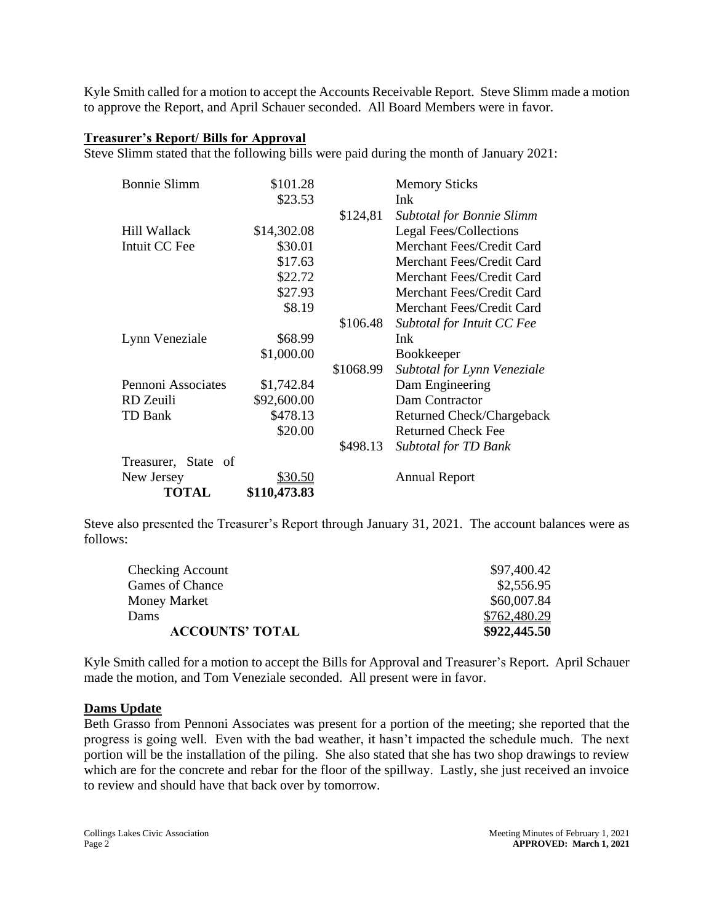Kyle Smith called for a motion to accept the Accounts Receivable Report. Steve Slimm made a motion to approve the Report, and April Schauer seconded. All Board Members were in favor.

### **Treasurer's Report/ Bills for Approval**

Steve Slimm stated that the following bills were paid during the month of January 2021:

| <b>Bonnie Slimm</b> | \$101.28       |           | <b>Memory Sticks</b>             |
|---------------------|----------------|-----------|----------------------------------|
|                     | \$23.53        |           | Ink                              |
|                     |                | \$124,81  | <b>Subtotal for Bonnie Slimm</b> |
| Hill Wallack        | \$14,302.08    |           | Legal Fees/Collections           |
| Intuit CC Fee       | \$30.01        |           | Merchant Fees/Credit Card        |
|                     | \$17.63        |           | Merchant Fees/Credit Card        |
|                     | \$22.72        |           | Merchant Fees/Credit Card        |
|                     | \$27.93        |           | Merchant Fees/Credit Card        |
|                     | \$8.19         |           | Merchant Fees/Credit Card        |
|                     |                | \$106.48  | Subtotal for Intuit CC Fee       |
| Lynn Veneziale      | \$68.99        |           | Ink                              |
|                     | \$1,000.00     |           | <b>Bookkeeper</b>                |
|                     |                | \$1068.99 | Subtotal for Lynn Veneziale      |
| Pennoni Associates  | \$1,742.84     |           | Dam Engineering                  |
| RD Zeuili           | \$92,600.00    |           | Dam Contractor                   |
| TD Bank             | \$478.13       |           | Returned Check/Chargeback        |
|                     | \$20.00        |           | <b>Returned Check Fee</b>        |
|                     |                | \$498.13  | Subtotal for TD Bank             |
| Treasurer, State of |                |           |                                  |
| New Jersey          | <u>\$30.50</u> |           | <b>Annual Report</b>             |
| <b>TOTAL</b>        | \$110,473.83   |           |                                  |

Steve also presented the Treasurer's Report through January 31, 2021. The account balances were as follows:

| <b>ACCOUNTS' TOTAL</b> | \$922,445.50 |
|------------------------|--------------|
| Dams                   | \$762,480.29 |
| Money Market           | \$60,007.84  |
| Games of Chance        | \$2,556.95   |
| Checking Account       | \$97,400.42  |

Kyle Smith called for a motion to accept the Bills for Approval and Treasurer's Report. April Schauer made the motion, and Tom Veneziale seconded. All present were in favor.

#### **Dams Update**

Beth Grasso from Pennoni Associates was present for a portion of the meeting; she reported that the progress is going well. Even with the bad weather, it hasn't impacted the schedule much. The next portion will be the installation of the piling. She also stated that she has two shop drawings to review which are for the concrete and rebar for the floor of the spillway. Lastly, she just received an invoice to review and should have that back over by tomorrow.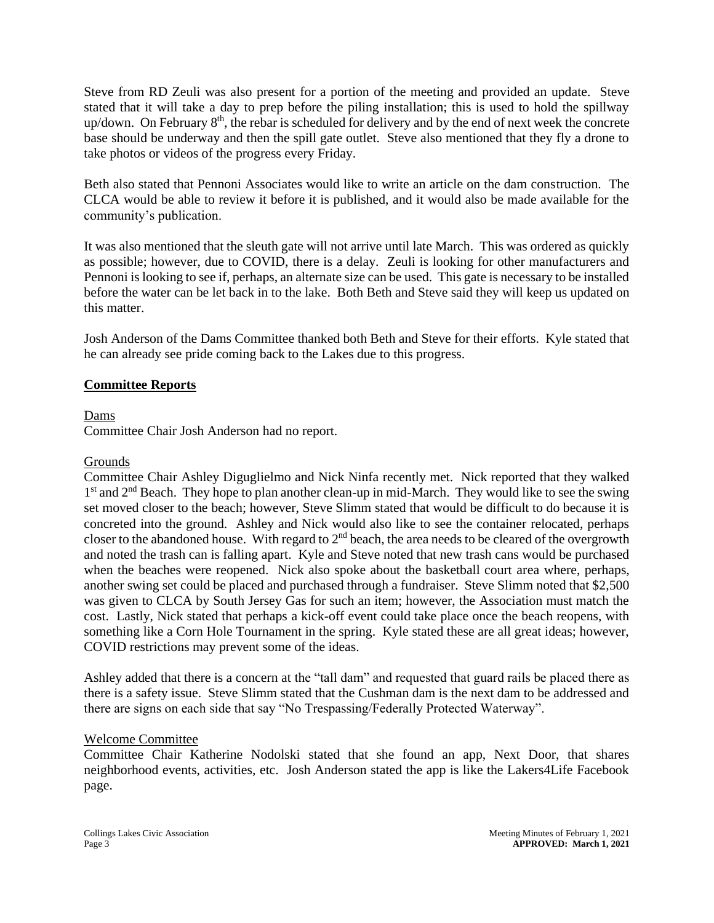Steve from RD Zeuli was also present for a portion of the meeting and provided an update. Steve stated that it will take a day to prep before the piling installation; this is used to hold the spillway up/down. On February 8<sup>th</sup>, the rebar is scheduled for delivery and by the end of next week the concrete base should be underway and then the spill gate outlet. Steve also mentioned that they fly a drone to take photos or videos of the progress every Friday.

Beth also stated that Pennoni Associates would like to write an article on the dam construction. The CLCA would be able to review it before it is published, and it would also be made available for the community's publication.

It was also mentioned that the sleuth gate will not arrive until late March. This was ordered as quickly as possible; however, due to COVID, there is a delay. Zeuli is looking for other manufacturers and Pennoni is looking to see if, perhaps, an alternate size can be used. This gate is necessary to be installed before the water can be let back in to the lake. Both Beth and Steve said they will keep us updated on this matter.

Josh Anderson of the Dams Committee thanked both Beth and Steve for their efforts. Kyle stated that he can already see pride coming back to the Lakes due to this progress.

## **Committee Reports**

Dams

Committee Chair Josh Anderson had no report.

#### Grounds

Committee Chair Ashley Diguglielmo and Nick Ninfa recently met. Nick reported that they walked 1<sup>st</sup> and 2<sup>nd</sup> Beach. They hope to plan another clean-up in mid-March. They would like to see the swing set moved closer to the beach; however, Steve Slimm stated that would be difficult to do because it is concreted into the ground. Ashley and Nick would also like to see the container relocated, perhaps closer to the abandoned house. With regard to  $2<sup>nd</sup>$  beach, the area needs to be cleared of the overgrowth and noted the trash can is falling apart. Kyle and Steve noted that new trash cans would be purchased when the beaches were reopened. Nick also spoke about the basketball court area where, perhaps, another swing set could be placed and purchased through a fundraiser. Steve Slimm noted that \$2,500 was given to CLCA by South Jersey Gas for such an item; however, the Association must match the cost. Lastly, Nick stated that perhaps a kick-off event could take place once the beach reopens, with something like a Corn Hole Tournament in the spring. Kyle stated these are all great ideas; however, COVID restrictions may prevent some of the ideas.

Ashley added that there is a concern at the "tall dam" and requested that guard rails be placed there as there is a safety issue. Steve Slimm stated that the Cushman dam is the next dam to be addressed and there are signs on each side that say "No Trespassing/Federally Protected Waterway".

#### Welcome Committee

Committee Chair Katherine Nodolski stated that she found an app, Next Door, that shares neighborhood events, activities, etc. Josh Anderson stated the app is like the Lakers4Life Facebook page.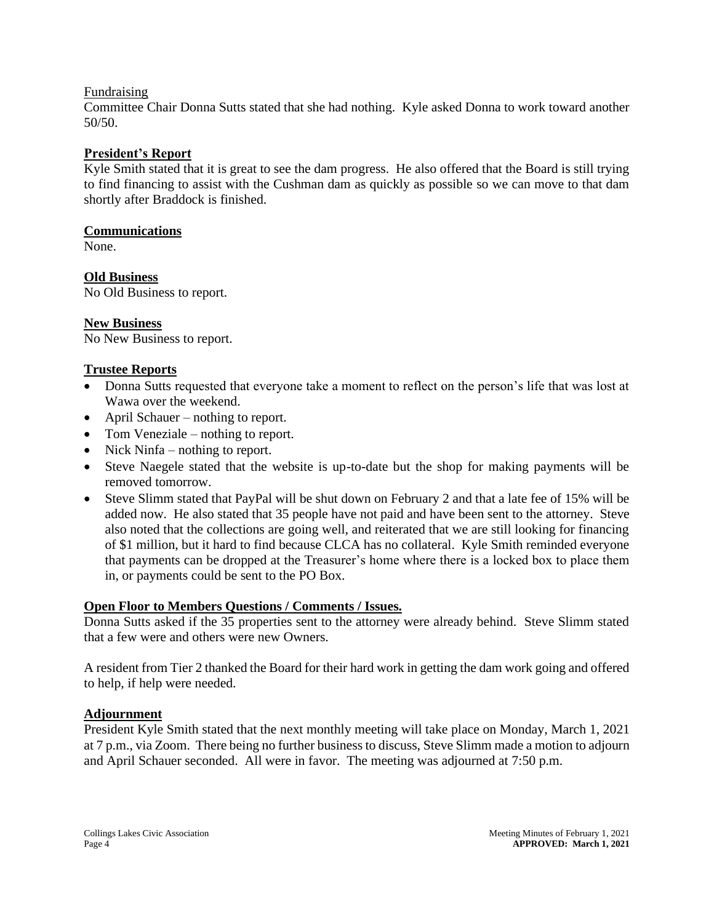#### Fundraising

Committee Chair Donna Sutts stated that she had nothing. Kyle asked Donna to work toward another 50/50.

## **President's Report**

Kyle Smith stated that it is great to see the dam progress. He also offered that the Board is still trying to find financing to assist with the Cushman dam as quickly as possible so we can move to that dam shortly after Braddock is finished.

#### **Communications**

None.

**Old Business**  No Old Business to report.

## **New Business**

No New Business to report.

### **Trustee Reports**

- Donna Sutts requested that everyone take a moment to reflect on the person's life that was lost at Wawa over the weekend.
- April Schauer nothing to report.
- Tom Veneziale nothing to report.
- Nick Ninfa nothing to report.
- Steve Naegele stated that the website is up-to-date but the shop for making payments will be removed tomorrow.
- Steve Slimm stated that PayPal will be shut down on February 2 and that a late fee of 15% will be added now. He also stated that 35 people have not paid and have been sent to the attorney. Steve also noted that the collections are going well, and reiterated that we are still looking for financing of \$1 million, but it hard to find because CLCA has no collateral. Kyle Smith reminded everyone that payments can be dropped at the Treasurer's home where there is a locked box to place them in, or payments could be sent to the PO Box.

#### **Open Floor to Members Questions / Comments / Issues.**

Donna Sutts asked if the 35 properties sent to the attorney were already behind. Steve Slimm stated that a few were and others were new Owners.

A resident from Tier 2 thanked the Board for their hard work in getting the dam work going and offered to help, if help were needed.

#### **Adjournment**

President Kyle Smith stated that the next monthly meeting will take place on Monday, March 1, 2021 at 7 p.m., via Zoom. There being no further business to discuss, Steve Slimm made a motion to adjourn and April Schauer seconded. All were in favor. The meeting was adjourned at 7:50 p.m.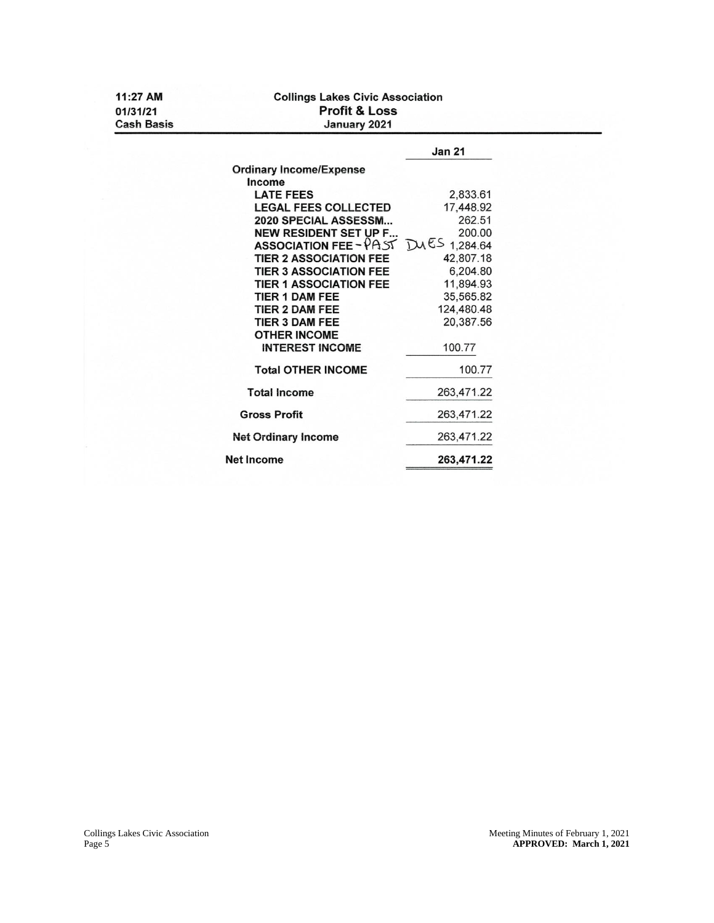| 11:27 AM                      | <b>Collings Lakes Civic Association</b>     |               |  |  |  |
|-------------------------------|---------------------------------------------|---------------|--|--|--|
| 01/31/21<br><b>Cash Basis</b> | <b>Profit &amp; Loss</b><br>January 2021    |               |  |  |  |
|                               |                                             | <b>Jan 21</b> |  |  |  |
|                               | <b>Ordinary Income/Expense</b>              |               |  |  |  |
|                               | Income                                      |               |  |  |  |
|                               | <b>LATE FEES</b>                            | 2,833.61      |  |  |  |
|                               | <b>LEGAL FEES COLLECTED</b>                 | 17,448.92     |  |  |  |
|                               | 2020 SPECIAL ASSESSM                        | 262.51        |  |  |  |
|                               | <b>NEW RESIDENT SET UP F</b>                | 200.00        |  |  |  |
|                               | <b>ASSOCIATION FEE-PAST</b> $DMES$ 1,284.64 |               |  |  |  |
|                               | <b>TIER 2 ASSOCIATION FEE</b>               | 42,807.18     |  |  |  |
|                               | <b>TIER 3 ASSOCIATION FEE</b>               | 6.204.80      |  |  |  |
|                               | <b>TIER 1 ASSOCIATION FEE</b>               | 11,894.93     |  |  |  |
|                               | <b>TIER 1 DAM FEE</b>                       | 35,565.82     |  |  |  |
|                               | <b>TIER 2 DAM FEE</b>                       | 124,480.48    |  |  |  |
|                               | <b>TIER 3 DAM FEE</b>                       | 20,387.56     |  |  |  |
|                               | <b>OTHER INCOME</b>                         |               |  |  |  |
|                               | <b>INTEREST INCOME</b>                      | 100.77        |  |  |  |
|                               | <b>Total OTHER INCOME</b>                   | 100.77        |  |  |  |
|                               | <b>Total Income</b>                         | 263,471.22    |  |  |  |
|                               | <b>Gross Profit</b>                         | 263,471.22    |  |  |  |
|                               | <b>Net Ordinary Income</b>                  | 263,471.22    |  |  |  |
|                               | <b>Net Income</b>                           | 263,471.22    |  |  |  |